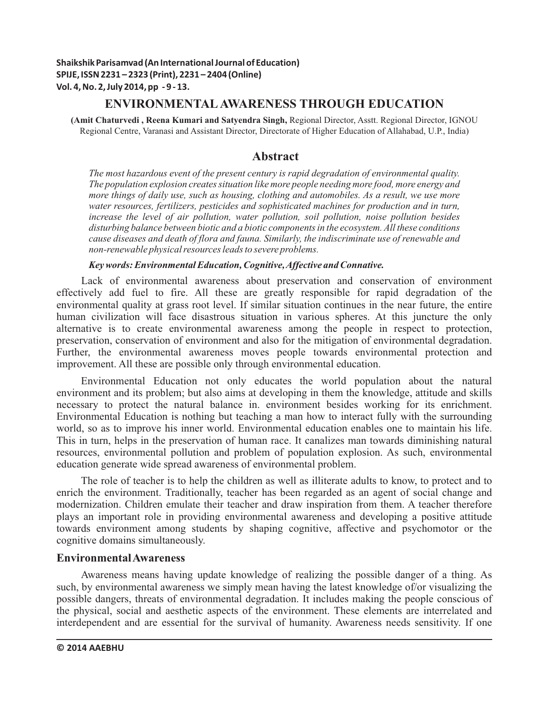# **ENVIRONMENTALAWARENESS THROUGH EDUCATION**

**(Amit Chaturvedi , Reena Kumari and Satyendra Singh,** Regional Director, Asstt. Regional Director, IGNOU Regional Centre, Varanasi and Assistant Director, Directorate of Higher Education of Allahabad, U.P., India)

# **Abstract**

*The most hazardous event of the present century is rapid degradation of environmental quality. The population explosion creates situation like more people needing more food, more energy and more things of daily use, such as housing, clothing and automobiles. As a result, we use more water resources, fertilizers, pesticides and sophisticated machines for production and in turn, increase the level of air pollution, water pollution, soil pollution, noise pollution besides disturbing balance between biotic and a biotic components in the ecosystem. All these conditions cause diseases and death of flora and fauna. Similarly, the indiscriminate use of renewable and non-renewable physical resources leads to severe problems.*

*Key words: Environmental Education, Cognitive, Affective and Connative.*

Lack of environmental awareness about preservation and conservation of environment effectively add fuel to fire. All these are greatly responsible for rapid degradation of the environmental quality at grass root level. If similar situation continues in the near future, the entire human civilization will face disastrous situation in various spheres. At this juncture the only alternative is to create environmental awareness among the people in respect to protection, preservation, conservation of environment and also for the mitigation of environmental degradation. Further, the environmental awareness moves people towards environmental protection and improvement. All these are possible only through environmental education.

Environmental Education not only educates the world population about the natural environment and its problem; but also aims at developing in them the knowledge, attitude and skills necessary to protect the natural balance in. environment besides working for its enrichment. Environmental Education is nothing but teaching a man how to interact fully with the surrounding world, so as to improve his inner world. Environmental education enables one to maintain his life. This in turn, helps in the preservation of human race. It canalizes man towards diminishing natural resources, environmental pollution and problem of population explosion. As such, environmental education generate wide spread awareness of environmental problem.

The role of teacher is to help the children as well as illiterate adults to know, to protect and to enrich the environment. Traditionally, teacher has been regarded as an agent of social change and modernization. Children emulate their teacher and draw inspiration from them. A teacher therefore plays an important role in providing environmental awareness and developing a positive attitude towards environment among students by shaping cognitive, affective and psychomotor or the cognitive domains simultaneously.

# **Environmental Awareness**

Awareness means having update knowledge of realizing the possible danger of a thing. As such, by environmental awareness we simply mean having the latest knowledge of/or visualizing the possible dangers, threats of environmental degradation. It includes making the people conscious of the physical, social and aesthetic aspects of the environment. These elements are interrelated and interdependent and are essential for the survival of humanity. Awareness needs sensitivity. If one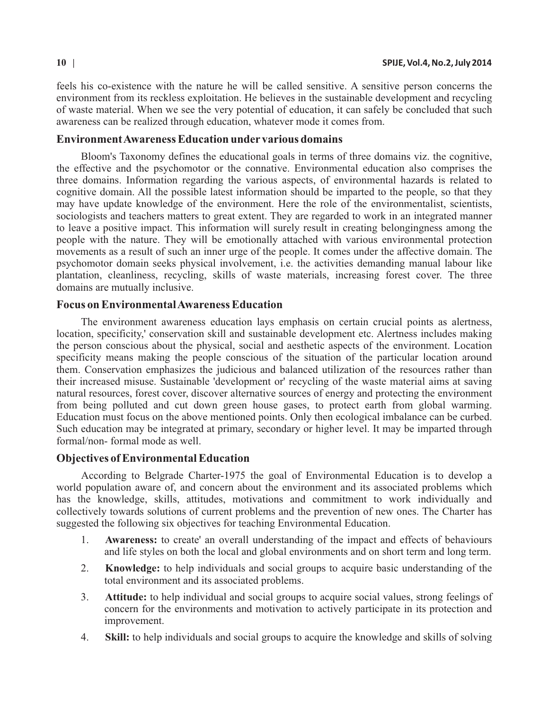feels his co-existence with the nature he will be called sensitive. A sensitive person concerns the environment from its reckless exploitation. He believes in the sustainable development and recycling of waste material. When we see the very potential of education, it can safely be concluded that such awareness can be realized through education, whatever mode it comes from.

## **Environment Awareness Education under various domains**

Bloom's Taxonomy defines the educational goals in terms of three domains viz. the cognitive, the effective and the psychomotor or the connative. Environmental education also comprises the three domains. Information regarding the various aspects, of environmental hazards is related to cognitive domain. All the possible latest information should be imparted to the people, so that they may have update knowledge of the environment. Here the role of the environmentalist, scientists, sociologists and teachers matters to great extent. They are regarded to work in an integrated manner to leave a positive impact. This information will surely result in creating belongingness among the people with the nature. They will be emotionally attached with various environmental protection movements as a result of such an inner urge of the people. It comes under the affective domain. The psychomotor domain seeks physical involvement, i.e. the activities demanding manual labour like plantation, cleanliness, recycling, skills of waste materials, increasing forest cover. The three domains are mutually inclusive.

### **Focus on Environmental Awareness Education**

The environment awareness education lays emphasis on certain crucial points as alertness, location, specificity,' conservation skill and sustainable development etc. Alertness includes making the person conscious about the physical, social and aesthetic aspects of the environment. Location specificity means making the people conscious of the situation of the particular location around them. Conservation emphasizes the judicious and balanced utilization of the resources rather than their increased misuse. Sustainable 'development or' recycling of the waste material aims at saving natural resources, forest cover, discover alternative sources of energy and protecting the environment from being polluted and cut down green house gases, to protect earth from global warming. Education must focus on the above mentioned points. Only then ecological imbalance can be curbed. Such education may be integrated at primary, secondary or higher level. It may be imparted through formal/non- formal mode as well.

## **Objectives of Environmental Education**

According to Belgrade Charter-1975 the goal of Environmental Education is to develop a world population aware of, and concern about the environment and its associated problems which has the knowledge, skills, attitudes, motivations and commitment to work individually and collectively towards solutions of current problems and the prevention of new ones. The Charter has suggested the following six objectives for teaching Environmental Education.

- 1. **Awareness:** to create' an overall understanding of the impact and effects of behaviours and life styles on both the local and global environments and on short term and long term.
- 2. **Knowledge:** to help individuals and social groups to acquire basic understanding of the total environment and its associated problems.
- 3. **Attitude:** to help individual and social groups to acquire social values, strong feelings of concern for the environments and motivation to actively participate in its protection and improvement.
- 4. **Skill:** to help individuals and social groups to acquire the knowledge and skills of solving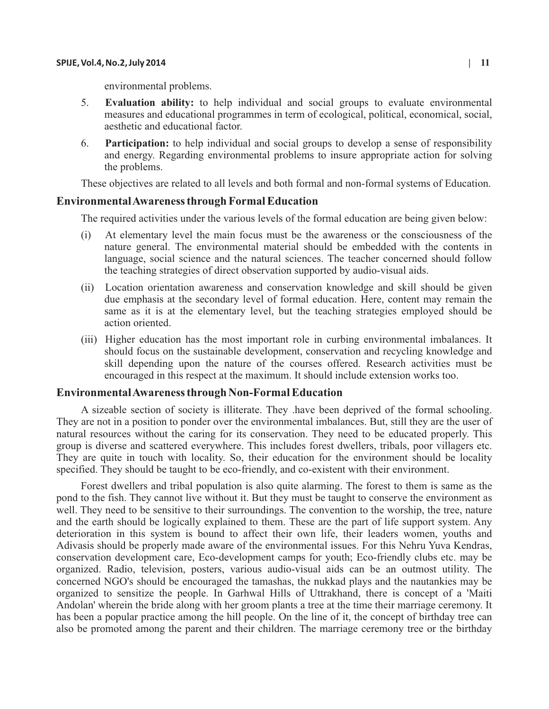environmental problems.

- 5. **Evaluation ability:** to help individual and social groups to evaluate environmental measures and educational programmes in term of ecological, political, economical, social, aesthetic and educational factor.
- 6. **Participation:** to help individual and social groups to develop a sense of responsibility and energy. Regarding environmental problems to insure appropriate action for solving the problems.

These objectives are related to all levels and both formal and non-formal systems of Education.

#### **Environmental Awareness through Formal Education**

The required activities under the various levels of the formal education are being given below:

- (i) At elementary level the main focus must be the awareness or the consciousness of the nature general. The environmental material should be embedded with the contents in language, social science and the natural sciences. The teacher concerned should follow the teaching strategies of direct observation supported by audio-visual aids.
- (ii) Location orientation awareness and conservation knowledge and skill should be given due emphasis at the secondary level of formal education. Here, content may remain the same as it is at the elementary level, but the teaching strategies employed should be action oriented.
- (iii) Higher education has the most important role in curbing environmental imbalances. It should focus on the sustainable development, conservation and recycling knowledge and skill depending upon the nature of the courses offered. Research activities must be encouraged in this respect at the maximum. It should include extension works too.

#### **Environmental Awareness through Non-Formal Education**

A sizeable section of society is illiterate. They .have been deprived of the formal schooling. They are not in a position to ponder over the environmental imbalances. But, still they are the user of natural resources without the caring for its conservation. They need to be educated properly. This group is diverse and scattered everywhere. This includes forest dwellers, tribals, poor villagers etc. They are quite in touch with locality. So, their education for the environment should be locality specified. They should be taught to be eco-friendly, and co-existent with their environment.

Forest dwellers and tribal population is also quite alarming. The forest to them is same as the pond to the fish. They cannot live without it. But they must be taught to conserve the environment as well. They need to be sensitive to their surroundings. The convention to the worship, the tree, nature and the earth should be logically explained to them. These are the part of life support system. Any deterioration in this system is bound to affect their own life, their leaders women, youths and Adivasis should be properly made aware of the environmental issues. For this Nehru Yuva Kendras, conservation development care, Eco-development camps for youth; Eco-friendly clubs etc. may be organized. Radio, television, posters, various audio-visual aids can be an outmost utility. The concerned NGO's should be encouraged the tamashas, the nukkad plays and the nautankies may be organized to sensitize the people. In Garhwal Hills of Uttrakhand, there is concept of a 'Maiti Andolan' wherein the bride along with her groom plants a tree at the time their marriage ceremony. It has been a popular practice among the hill people. On the line of it, the concept of birthday tree can also be promoted among the parent and their children. The marriage ceremony tree or the birthday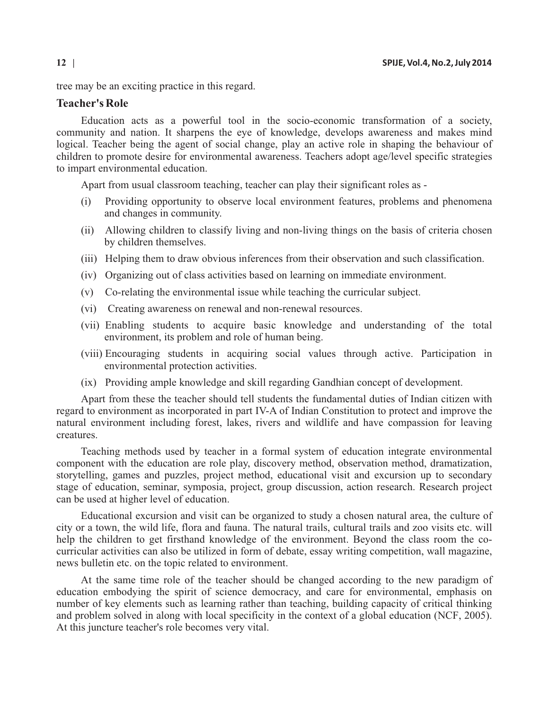tree may be an exciting practice in this regard.

## **Teacher's Role**

Education acts as a powerful tool in the socio-economic transformation of a society, community and nation. It sharpens the eye of knowledge, develops awareness and makes mind logical. Teacher being the agent of social change, play an active role in shaping the behaviour of children to promote desire for environmental awareness. Teachers adopt age/level specific strategies to impart environmental education.

Apart from usual classroom teaching, teacher can play their significant roles as -

- (i) Providing opportunity to observe local environment features, problems and phenomena and changes in community.
- (ii) Allowing children to classify living and non-living things on the basis of criteria chosen by children themselves.
- (iii) Helping them to draw obvious inferences from their observation and such classification.
- (iv) Organizing out of class activities based on learning on immediate environment.
- (v) Co-relating the environmental issue while teaching the curricular subject.
- (vi) Creating awareness on renewal and non-renewal resources.
- (vii) Enabling students to acquire basic knowledge and understanding of the total environment, its problem and role of human being.
- (viii) Encouraging students in acquiring social values through active. Participation in environmental protection activities.
- (ix) Providing ample knowledge and skill regarding Gandhian concept of development.

Apart from these the teacher should tell students the fundamental duties of Indian citizen with regard to environment as incorporated in part IV-A of Indian Constitution to protect and improve the natural environment including forest, lakes, rivers and wildlife and have compassion for leaving creatures.

Teaching methods used by teacher in a formal system of education integrate environmental component with the education are role play, discovery method, observation method, dramatization, storytelling, games and puzzles, project method, educational visit and excursion up to secondary stage of education, seminar, symposia, project, group discussion, action research. Research project can be used at higher level of education.

Educational excursion and visit can be organized to study a chosen natural area, the culture of city or a town, the wild life, flora and fauna. The natural trails, cultural trails and zoo visits etc. will help the children to get firsthand knowledge of the environment. Beyond the class room the cocurricular activities can also be utilized in form of debate, essay writing competition, wall magazine, news bulletin etc. on the topic related to environment.

At the same time role of the teacher should be changed according to the new paradigm of education embodying the spirit of science democracy, and care for environmental, emphasis on number of key elements such as learning rather than teaching, building capacity of critical thinking and problem solved in along with local specificity in the context of a global education (NCF, 2005). At this juncture teacher's role becomes very vital.